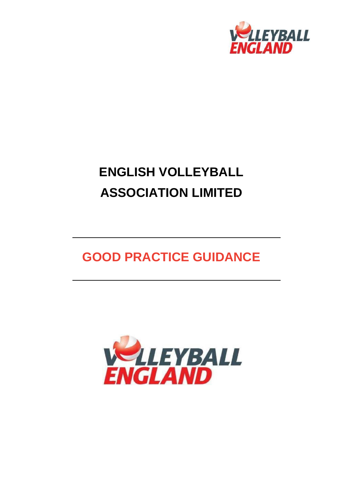

# **ENGLISH VOLLEYBALL ASSOCIATION LIMITED**

## **GOOD PRACTICE GUIDANCE**

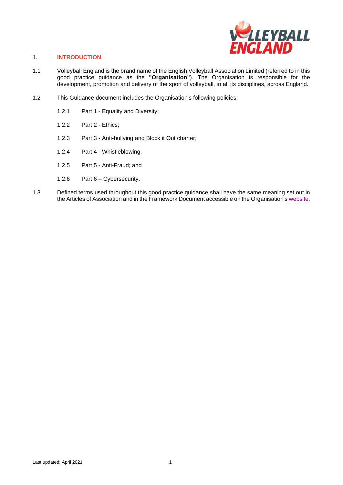

#### 1. **INTRODUCTION**

- 1.1 Volleyball England is the brand name of the English Volleyball Association Limited (referred to in this good practice guidance as the **"Organisation"**). The Organisation is responsible for the development, promotion and delivery of the sport of volleyball, in all its disciplines, across England.
- 1.2 This Guidance document includes the Organisation's following policies:
	- 1.2.1 Part 1 Equality and Diversity;
	- 1.2.2 Part 2 Ethics;
	- 1.2.3 Part 3 Anti-bullying and Block it Out charter;
	- 1.2.4 Part 4 Whistleblowing;
	- 1.2.5 Part 5 Anti-Fraud; and
	- 1.2.6 Part 6 Cybersecurity.
- 1.3 Defined terms used throughout this good practice guidance shall have the same meaning set out in the Articles of Association and in the Framework Document accessible on the Organisation's [website.](http://www.volleyballengland.org/about_us/about_us_/governance)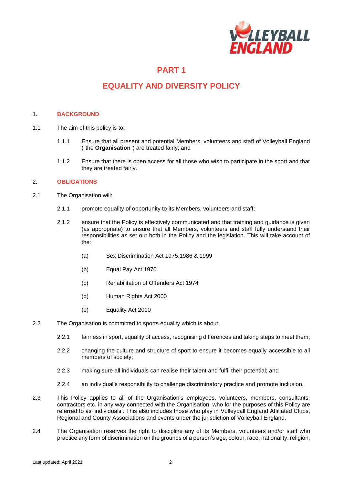

## **EQUALITY AND DIVERSITY POLICY**

#### 1. **BACKGROUND**

- 1.1 The aim of this policy is to:
	- 1.1.1 Ensure that all present and potential Members, volunteers and staff of Volleyball England ("the **Organisation**") are treated fairly; and
	- 1.1.2 Ensure that there is open access for all those who wish to participate in the sport and that they are treated fairly.

#### 2. **OBLIGATIONS**

- 2.1 The Organisation will:
	- 2.1.1 promote equality of opportunity to its Members, volunteers and staff;
	- 2.1.2 ensure that the Policy is effectively communicated and that training and guidance is given (as appropriate) to ensure that all Members, volunteers and staff fully understand their responsibilities as set out both in the Policy and the legislation. This will take account of the:
		- (a) Sex Discrimination Act 1975,1986 & 1999
		- (b) Equal Pay Act 1970
		- (c) Rehabilitation of Offenders Act 1974
		- (d) Human Rights Act 2000
		- (e) Equality Act 2010
- 2.2 The Organisation is committed to sports equality which is about:
	- 2.2.1 fairness in sport, equality of access, recognising differences and taking steps to meet them;
	- 2.2.2 changing the culture and structure of sport to ensure it becomes equally accessible to all members of society;
	- 2.2.3 making sure all individuals can realise their talent and fulfil their potential; and
	- 2.2.4 an individual's responsibility to challenge discriminatory practice and promote inclusion.
- 2.3 This Policy applies to all of the Organisation's employees, volunteers, members, consultants, contractors etc. in any way connected with the Organisation, who for the purposes of this Policy are referred to as 'individuals'. This also includes those who play in Volleyball England Affiliated Clubs, Regional and County Associations and events under the jurisdiction of Volleyball England.
- 2.4 The Organisation reserves the right to discipline any of its Members, volunteers and/or staff who practice any form of discrimination on the grounds of a person's age, colour, race, nationality, religion,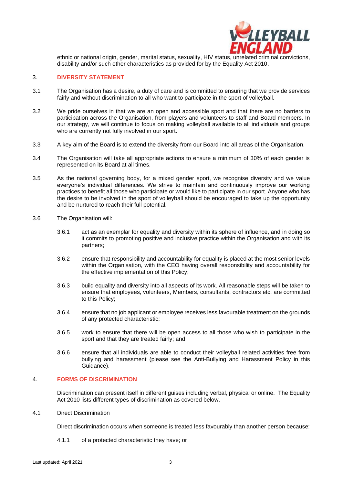

ethnic or national origin, gender, marital status, sexuality, HIV status, unrelated criminal convictions, disability and/or such other characteristics as provided for by the Equality Act 2010.

#### 3. **DIVERSITY STATEMENT**

- 3.1 The Organisation has a desire, a duty of care and is committed to ensuring that we provide services fairly and without discrimination to all who want to participate in the sport of volleyball.
- 3.2 We pride ourselves in that we are an open and accessible sport and that there are no barriers to participation across the Organisation, from players and volunteers to staff and Board members. In our strategy, we will continue to focus on making volleyball available to all individuals and groups who are currently not fully involved in our sport.
- 3.3 A key aim of the Board is to extend the diversity from our Board into all areas of the Organisation.
- 3.4 The Organisation will take all appropriate actions to ensure a minimum of 30% of each gender is represented on its Board at all times.
- 3.5 As the national governing body, for a mixed gender sport, we recognise diversity and we value everyone's individual differences. We strive to maintain and continuously improve our working practices to benefit all those who participate or would like to participate in our sport. Anyone who has the desire to be involved in the sport of volleyball should be encouraged to take up the opportunity and be nurtured to reach their full potential.
- 3.6 The Organisation will:
	- 3.6.1 act as an exemplar for equality and diversity within its sphere of influence, and in doing so it commits to promoting positive and inclusive practice within the Organisation and with its partners;
	- 3.6.2 ensure that responsibility and accountability for equality is placed at the most senior levels within the Organisation, with the CEO having overall responsibility and accountability for the effective implementation of this Policy;
	- 3.6.3 build equality and diversity into all aspects of its work. All reasonable steps will be taken to ensure that employees, volunteers, Members, consultants, contractors etc. are committed to this Policy;
	- 3.6.4 ensure that no job applicant or employee receives less favourable treatment on the grounds of any protected characteristic;
	- 3.6.5 work to ensure that there will be open access to all those who wish to participate in the sport and that they are treated fairly; and
	- 3.6.6 ensure that all individuals are able to conduct their volleyball related activities free from bullying and harassment (please see the Anti-Bullying and Harassment Policy in this Guidance).

#### 4. **FORMS OF DISCRIMINATION**

Discrimination can present itself in different guises including verbal, physical or online. The Equality Act 2010 lists different types of discrimination as covered below.

4.1 Direct Discrimination

Direct discrimination occurs when someone is treated less favourably than another person because:

4.1.1 of a protected characteristic they have; or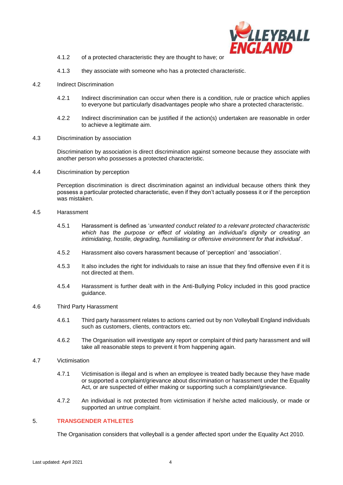

- 4.1.2 of a protected characteristic they are thought to have; or
- 4.1.3 they associate with someone who has a protected characteristic.
- 4.2 Indirect Discrimination
	- 4.2.1 Indirect discrimination can occur when there is a condition, rule or practice which applies to everyone but particularly disadvantages people who share a protected characteristic.
	- 4.2.2 Indirect discrimination can be justified if the action(s) undertaken are reasonable in order to achieve a legitimate aim.
- 4.3 Discrimination by association

Discrimination by association is direct discrimination against someone because they associate with another person who possesses a protected characteristic.

4.4 Discrimination by perception

Perception discrimination is direct discrimination against an individual because others think they possess a particular protected characteristic, even if they don't actually possess it or if the perception was mistaken.

- 4.5 Harassment
	- 4.5.1 Harassment is defined as '*unwanted conduct related to a relevant protected characteristic which has the purpose or effect of violating an individual's dignity or creating an intimidating, hostile, degrading, humiliating or offensive environment for that individual*'.
	- 4.5.2 Harassment also covers harassment because of 'perception' and 'association'.
	- 4.5.3 It also includes the right for individuals to raise an issue that they find offensive even if it is not directed at them.
	- 4.5.4 Harassment is further dealt with in the Anti-Bullying Policy included in this good practice guidance.
- 4.6 Third Party Harassment
	- 4.6.1 Third party harassment relates to actions carried out by non Volleyball England individuals such as customers, clients, contractors etc.
	- 4.6.2 The Organisation will investigate any report or complaint of third party harassment and will take all reasonable steps to prevent it from happening again.
- 4.7 Victimisation
	- 4.7.1 Victimisation is illegal and is when an employee is treated badly because they have made or supported a complaint/grievance about discrimination or harassment under the Equality Act, or are suspected of either making or supporting such a complaint/grievance.
	- 4.7.2 An individual is not protected from victimisation if he/she acted maliciously, or made or supported an untrue complaint.

#### 5. **TRANSGENDER ATHLETES**

The Organisation considers that volleyball is a gender affected sport under the Equality Act 2010.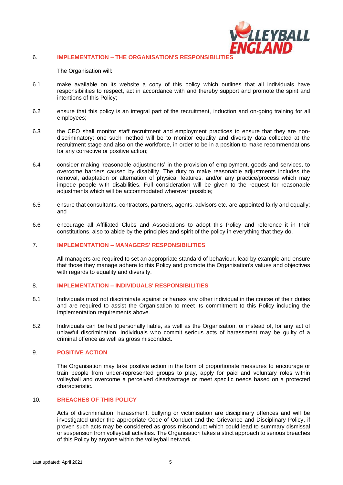

#### 6. **IMPLEMENTATION – THE ORGANISATION'S RESPONSIBILITIES**

The Organisation will:

- 6.1 make available on its website a copy of this policy which outlines that all individuals have responsibilities to respect, act in accordance with and thereby support and promote the spirit and intentions of this Policy;
- 6.2 ensure that this policy is an integral part of the recruitment, induction and on-going training for all employees;
- 6.3 the CEO shall monitor staff recruitment and employment practices to ensure that they are nondiscriminatory; one such method will be to monitor equality and diversity data collected at the recruitment stage and also on the workforce, in order to be in a position to make recommendations for any corrective or positive action;
- 6.4 consider making 'reasonable adjustments' in the provision of employment, goods and services, to overcome barriers caused by disability. The duty to make reasonable adjustments includes the removal, adaptation or alternation of physical features, and/or any practice/process which may impede people with disabilities. Full consideration will be given to the request for reasonable adjustments which will be accommodated wherever possible;
- 6.5 ensure that consultants, contractors, partners, agents, advisors etc. are appointed fairly and equally; and
- 6.6 encourage all Affiliated Clubs and Associations to adopt this Policy and reference it in their constitutions, also to abide by the principles and spirit of the policy in everything that they do.

#### 7. **IMPLEMENTATION – MANAGERS' RESPONSIBILITIES**

All managers are required to set an appropriate standard of behaviour, lead by example and ensure that those they manage adhere to this Policy and promote the Organisation's values and objectives with regards to equality and diversity.

#### 8. **IMPLEMENTATION – INDIVIDUALS' RESPONSIBILITIES**

- 8.1 Individuals must not discriminate against or harass any other individual in the course of their duties and are required to assist the Organisation to meet its commitment to this Policy including the implementation requirements above.
- 8.2 Individuals can be held personally liable, as well as the Organisation, or instead of, for any act of unlawful discrimination. Individuals who commit serious acts of harassment may be guilty of a criminal offence as well as gross misconduct.

#### 9. **POSITIVE ACTION**

The Organisation may take positive action in the form of proportionate measures to encourage or train people from under-represented groups to play, apply for paid and voluntary roles within volleyball and overcome a perceived disadvantage or meet specific needs based on a protected characteristic.

#### 10. **BREACHES OF THIS POLICY**

Acts of discrimination, harassment, bullying or victimisation are disciplinary offences and will be investigated under the appropriate Code of Conduct and the Grievance and Disciplinary Policy, if proven such acts may be considered as gross misconduct which could lead to summary dismissal or suspension from volleyball activities. The Organisation takes a strict approach to serious breaches of this Policy by anyone within the volleyball network.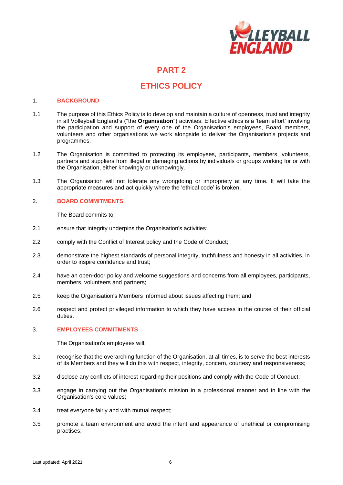

## **ETHICS POLICY**

#### 1. **BACKGROUND**

- 1.1 The purpose of this Ethics Policy is to develop and maintain a culture of openness, trust and integrity in all Volleyball England's ("the **Organisation**") activities. Effective ethics is a 'team effort' involving the participation and support of every one of the Organisation's employees, Board members, volunteers and other organisations we work alongside to deliver the Organisation's projects and programmes.
- 1.2 The Organisation is committed to protecting its employees, participants, members, volunteers, partners and suppliers from illegal or damaging actions by individuals or groups working for or with the Organisation, either knowingly or unknowingly.
- 1.3 The Organisation will not tolerate any wrongdoing or impropriety at any time. It will take the appropriate measures and act quickly where the 'ethical code' is broken.

#### 2. **BOARD COMMITMENTS**

The Board commits to:

- 2.1 ensure that integrity underpins the Organisation's activities;
- 2.2 comply with the Conflict of Interest policy and the Code of Conduct;
- 2.3 demonstrate the highest standards of personal integrity, truthfulness and honesty in all activities, in order to inspire confidence and trust;
- 2.4 have an open-door policy and welcome suggestions and concerns from all employees, participants, members, volunteers and partners;
- 2.5 keep the Organisation's Members informed about issues affecting them; and
- 2.6 respect and protect privileged information to which they have access in the course of their official duties.

#### 3. **EMPLOYEES COMMITMENTS**

The Organisation's employees will:

- 3.1 recognise that the overarching function of the Organisation, at all times, is to serve the best interests of its Members and they will do this with respect, integrity, concern, courtesy and responsiveness;
- 3.2 disclose any conflicts of interest regarding their positions and comply with the Code of Conduct;
- 3.3 engage in carrying out the Organisation's mission in a professional manner and in line with the Organisation's core values;
- 3.4 treat everyone fairly and with mutual respect;
- 3.5 promote a team environment and avoid the intent and appearance of unethical or compromising practises;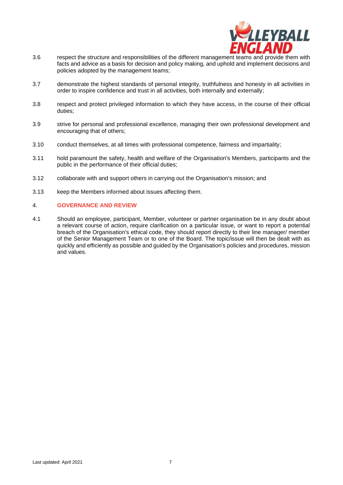

- 3.6 respect the structure and responsibilities of the different management teams and provide them with facts and advice as a basis for decision and policy making, and uphold and implement decisions and policies adopted by the management teams;
- 3.7 demonstrate the highest standards of personal integrity, truthfulness and honesty in all activities in order to inspire confidence and trust in all activities, both internally and externally;
- 3.8 respect and protect privileged information to which they have access, in the course of their official duties;
- 3.9 strive for personal and professional excellence, managing their own professional development and encouraging that of others;
- 3.10 conduct themselves, at all times with professional competence, fairness and impartiality;
- 3.11 hold paramount the safety, health and welfare of the Organisation's Members, participants and the public in the performance of their official duties;
- 3.12 collaborate with and support others in carrying out the Organisation's mission; and
- 3.13 keep the Members informed about issues affecting them.

#### 4. **GOVERNANCE AND REVIEW**

4.1 Should an employee, participant, Member, volunteer or partner organisation be in any doubt about a relevant course of action, require clarification on a particular issue, or want to report a potential breach of the Organisation's ethical code, they should report directly to their line manager/ member of the Senior Management Team or to one of the Board. The topic/issue will then be dealt with as quickly and efficiently as possible and guided by the Organisation's policies and procedures, mission and values.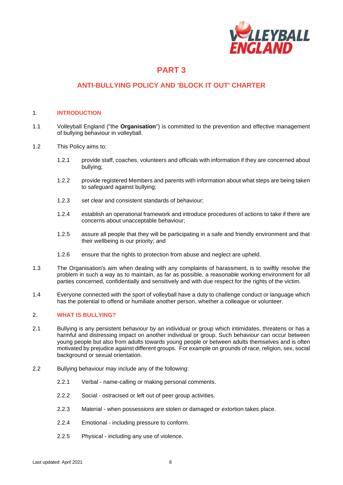

### **ANTI-BULLYING POLICY AND 'BLOCK IT OUT' CHARTER**

#### 1. **INTRODUCTION**

- 1.1 Volleyball England ("the **Organisation**") is committed to the prevention and effective management of bullying behaviour in volleyball.
- 1.2 This Policy aims to:
	- 1.2.1 provide staff, coaches, volunteers and officials with information if they are concerned about bullying;
	- 1.2.2 provide registered Members and parents with information about what steps are being taken to safeguard against bullying;
	- 1.2.3 set clear and consistent standards of behaviour;
	- 1.2.4 establish an operational framework and introduce procedures of actions to take if there are concerns about unacceptable behaviour;
	- 1.2.5 assure all people that they will be participating in a safe and friendly environment and that their wellbeing is our priority; and
	- 1.2.6 ensure that the rights to protection from abuse and neglect are upheld.
- 1.3 The Organisation's aim when dealing with any complaints of harassment, is to swiftly resolve the problem in such a way as to maintain, as far as possible, a reasonable working environment for all parties concerned, confidentially and sensitively and with due respect for the rights of the victim.
- 1.4 Everyone connected with the sport of volleyball have a duty to challenge conduct or language which has the potential to offend or humiliate another person, whether a colleague or volunteer.

#### 2. **WHAT IS BULLYING?**

- 2.1 Bullying is any persistent behaviour by an individual or group which intimidates, threatens or has a harmful and distressing impact on another individual or group. Such behaviour can occur between young people but also from adults towards young people or between adults themselves and is often motivated by prejudice against different groups. For example on grounds of race, religion, sex, social background or sexual orientation.
- 2.2 Bullying behaviour may include any of the following:
	- 2.2.1 Verbal name-calling or making personal comments.
	- 2.2.2 Social ostracised or left out of peer group activities.
	- 2.2.3 Material when possessions are stolen or damaged or extortion takes place.
	- 2.2.4 Emotional including pressure to conform.
	- 2.2.5 Physical including any use of violence.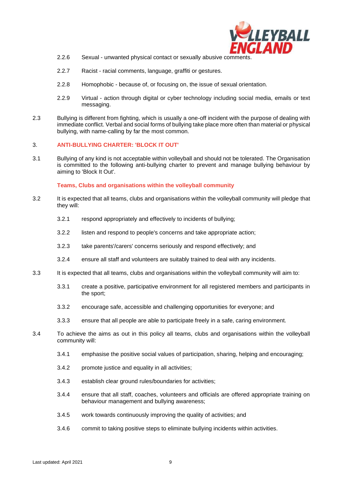

- 2.2.6 Sexual unwanted physical contact or sexually abusive comments.
- 2.2.7 Racist racial comments, language, graffiti or gestures.
- 2.2.8 Homophobic because of, or focusing on, the issue of sexual orientation.
- 2.2.9 Virtual action through digital or cyber technology including social media, emails or text messaging.
- 2.3 Bullying is different from fighting, which is usually a one-off incident with the purpose of dealing with immediate conflict. Verbal and social forms of bullying take place more often than material or physical bullying, with name-calling by far the most common.

#### 3. **ANTI-BULLYING CHARTER: 'BLOCK IT OUT'**

3.1 Bullying of any kind is not acceptable within volleyball and should not be tolerated. The Organisation is committed to the following anti-bullying charter to prevent and manage bullying behaviour by aiming to 'Block It Out'.

**Teams, Clubs and organisations within the volleyball community**

- 3.2 It is expected that all teams, clubs and organisations within the volleyball community will pledge that they will:
	- 3.2.1 respond appropriately and effectively to incidents of bullying;
	- 3.2.2 listen and respond to people's concerns and take appropriate action;
	- 3.2.3 take parents'/carers' concerns seriously and respond effectively; and
	- 3.2.4 ensure all staff and volunteers are suitably trained to deal with any incidents.
- 3.3 It is expected that all teams, clubs and organisations within the volleyball community will aim to:
	- 3.3.1 create a positive, participative environment for all registered members and participants in the sport;
	- 3.3.2 encourage safe, accessible and challenging opportunities for everyone; and
	- 3.3.3 ensure that all people are able to participate freely in a safe, caring environment.
- 3.4 To achieve the aims as out in this policy all teams, clubs and organisations within the volleyball community will:
	- 3.4.1 emphasise the positive social values of participation, sharing, helping and encouraging;
	- 3.4.2 promote justice and equality in all activities;
	- 3.4.3 establish clear ground rules/boundaries for activities;
	- 3.4.4 ensure that all staff, coaches, volunteers and officials are offered appropriate training on behaviour management and bullying awareness;
	- 3.4.5 work towards continuously improving the quality of activities; and
	- 3.4.6 commit to taking positive steps to eliminate bullying incidents within activities.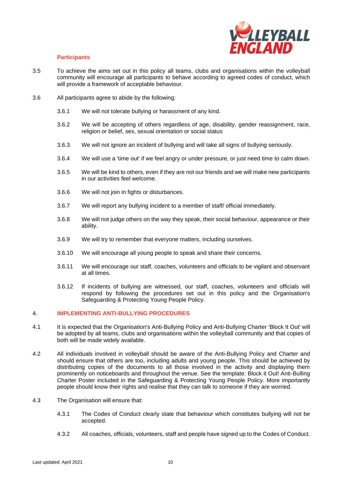

#### **Participants**

- 3.5 To achieve the aims set out in this policy all teams, clubs and organisations within the volleyball community will encourage all participants to behave according to agreed codes of conduct, which will provide a framework of acceptable behaviour.
- 3.6 All participants agree to abide by the following:
	- 3.6.1 We will not tolerate bullying or harassment of any kind.
	- 3.6.2 We will be accepting of others regardless of age, disability, gender reassignment, race, religion or belief, sex, sexual orientation or social status
	- 3.6.3 We will not ignore an incident of bullying and will take all signs of bullying seriously.
	- 3.6.4 We will use a 'time out' if we feel angry or under pressure, or just need time to calm down.
	- 3.6.5 We will be kind to others, even if they are not our friends and we will make new participants in our activities feel welcome.
	- 3.6.6 We will not join in fights or disturbances.
	- 3.6.7 We will report any bullying incident to a member of staff/ official immediately.
	- 3.6.8 We will not judge others on the way they speak, their social behaviour, appearance or their ability.
	- 3.6.9 We will try to remember that everyone matters, including ourselves.
	- 3.6.10 We will encourage all young people to speak and share their concerns.
	- 3.6.11 We will encourage our staff, coaches, volunteers and officials to be vigilant and observant at all times.
	- 3.6.12 If incidents of bullying are witnessed, our staff, coaches, volunteers and officials will respond by following the procedures set out in this policy and the Organisation's Safeguarding & Protecting Young People Policy.

#### 4. **IMPLEMENTING ANTI-BULLYING PROCEDURES**

- 4.1 It is expected that the Organisation's Anti-Bullying Policy and Anti-Bullying Charter 'Block It Out' will be adopted by all teams, clubs and organisations within the volleyball community and that copies of both will be made widely available.
- 4.2 All individuals involved in volleyball should be aware of the Anti-Bullying Policy and Charter and should ensure that others are too, including adults and young people. This should be achieved by distributing copies of the documents to all those involved in the activity and displaying them prominently on noticeboards and throughout the venue. See the template: Block it Out! Anti-Bulling Charter Poster included in the Safeguarding & Protecting Young People Policy. More importantly people should know their rights and realise that they can talk to someone if they are worried.
- 4.3 The Organisation will ensure that:
	- 4.3.1 The Codes of Conduct clearly state that behaviour which constitutes bullying will not be accepted.
	- 4.3.2 All coaches, officials, volunteers, staff and people have signed up to the Codes of Conduct.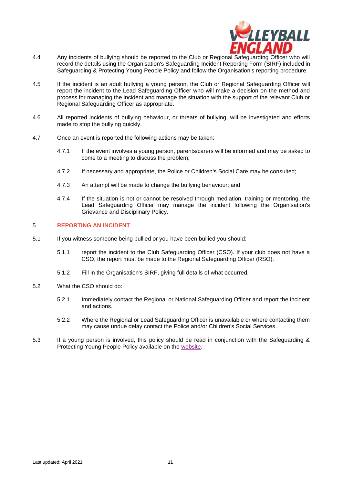

- 4.4 Any incidents of bullying should be reported to the Club or Regional Safeguarding Officer who will record the details using the Organisation's Safeguarding Incident Reporting Form (SIRF) included in Safeguarding & Protecting Young People Policy and follow the Organisation's reporting procedure.
- 4.5 If the incident is an adult bullying a young person, the Club or Regional Safeguarding Officer will report the incident to the Lead Safeguarding Officer who will make a decision on the method and process for managing the incident and manage the situation with the support of the relevant Club or Regional Safeguarding Officer as appropriate.
- 4.6 All reported incidents of bullying behaviour, or threats of bullying, will be investigated and efforts made to stop the bullying quickly.
- 4.7 Once an event is reported the following actions may be taken:
	- 4.7.1 If the event involves a young person, parents/carers will be informed and may be asked to come to a meeting to discuss the problem;
	- 4.7.2 If necessary and appropriate, the Police or Children's Social Care may be consulted;
	- 4.7.3 An attempt will be made to change the bullying behaviour; and
	- 4.7.4 If the situation is not or cannot be resolved through mediation, training or mentoring, the Lead Safeguarding Officer may manage the incident following the Organisation's Grievance and Disciplinary Policy.

#### 5. **REPORTING AN INCIDENT**

- 5.1 If you witness someone being bullied or you have been bullied you should:
	- 5.1.1 report the incident to the Club Safeguarding Officer (CSO). If your club does not have a CSO, the report must be made to the Regional Safeguarding Officer (RSO).
	- 5.1.2 Fill in the Organisation's SIRF, giving full details of what occurred.
- 5.2 What the CSO should do:
	- 5.2.1 Immediately contact the Regional or National Safeguarding Officer and report the incident and actions.
	- 5.2.2 Where the Regional or Lead Safeguarding Officer is unavailable or where contacting them may cause undue delay contact the Police and/or Children's Social Services.
- 5.3 If a young person is involved, this policy should be read in conjunction with the Safeguarding & Protecting Young People Policy available on the [website.](http://www.volleyballengland.org/about_us/about_us_/governance)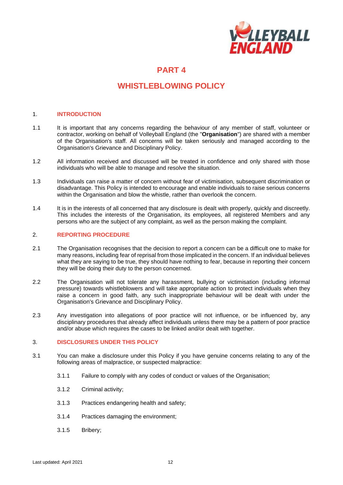

## **WHISTLEBLOWING POLICY**

#### 1. **INTRODUCTION**

- 1.1 It is important that any concerns regarding the behaviour of any member of staff, volunteer or contractor, working on behalf of Volleyball England (the "**Organisation**") are shared with a member of the Organisation's staff. All concerns will be taken seriously and managed according to the Organisation's Grievance and Disciplinary Policy.
- 1.2 All information received and discussed will be treated in confidence and only shared with those individuals who will be able to manage and resolve the situation.
- 1.3 Individuals can raise a matter of concern without fear of victimisation, subsequent discrimination or disadvantage. This Policy is intended to encourage and enable individuals to raise serious concerns within the Organisation and blow the whistle, rather than overlook the concern.
- 1.4 It is in the interests of all concerned that any disclosure is dealt with properly, quickly and discreetly. This includes the interests of the Organisation, its employees, all registered Members and any persons who are the subject of any complaint, as well as the person making the complaint.

#### 2. **REPORTING PROCEDURE**

- 2.1 The Organisation recognises that the decision to report a concern can be a difficult one to make for many reasons, including fear of reprisal from those implicated in the concern. If an individual believes what they are saying to be true, they should have nothing to fear, because in reporting their concern they will be doing their duty to the person concerned.
- 2.2 The Organisation will not tolerate any harassment, bullying or victimisation (including informal pressure) towards whistleblowers and will take appropriate action to protect individuals when they raise a concern in good faith, any such inappropriate behaviour will be dealt with under the Organisation's Grievance and Disciplinary Policy.
- 2.3 Any investigation into allegations of poor practice will not influence, or be influenced by, any disciplinary procedures that already affect individuals unless there may be a pattern of poor practice and/or abuse which requires the cases to be linked and/or dealt with together.

#### 3. **DISCLOSURES UNDER THIS POLICY**

- 3.1 You can make a disclosure under this Policy if you have genuine concerns relating to any of the following areas of malpractice, or suspected malpractice:
	- 3.1.1 Failure to comply with any codes of conduct or values of the Organisation;
	- 3.1.2 Criminal activity;
	- 3.1.3 Practices endangering health and safety;
	- 3.1.4 Practices damaging the environment;
	- 3.1.5 Bribery;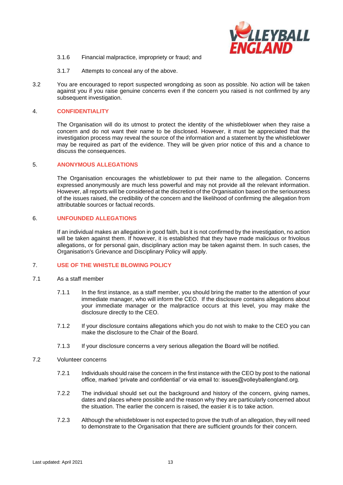

- 3.1.6 Financial malpractice, impropriety or fraud; and
- 3.1.7 Attempts to conceal any of the above.
- 3.2 You are encouraged to report suspected wrongdoing as soon as possible. No action will be taken against you if you raise genuine concerns even if the concern you raised is not confirmed by any subsequent investigation.

#### 4. **CONFIDENTIALITY**

The Organisation will do its utmost to protect the identity of the whistleblower when they raise a concern and do not want their name to be disclosed. However, it must be appreciated that the investigation process may reveal the source of the information and a statement by the whistleblower may be required as part of the evidence. They will be given prior notice of this and a chance to discuss the consequences.

#### 5. **ANONYMOUS ALLEGATIONS**

The Organisation encourages the whistleblower to put their name to the allegation. Concerns expressed anonymously are much less powerful and may not provide all the relevant information. However, all reports will be considered at the discretion of the Organisation based on the seriousness of the issues raised, the credibility of the concern and the likelihood of confirming the allegation from attributable sources or factual records.

#### 6. **UNFOUNDED ALLEGATIONS**

If an individual makes an allegation in good faith, but it is not confirmed by the investigation, no action will be taken against them. If however, it is established that they have made malicious or frivolous allegations, or for personal gain, disciplinary action may be taken against them. In such cases, the Organisation's Grievance and Disciplinary Policy will apply.

#### 7. **USE OF THE WHISTLE BLOWING POLICY**

- 7.1 As a staff member
	- 7.1.1 In the first instance, as a staff member, you should bring the matter to the attention of your immediate manager, who will inform the CEO. If the disclosure contains allegations about your immediate manager or the malpractice occurs at this level, you may make the disclosure directly to the CEO.
	- 7.1.2 If your disclosure contains allegations which you do not wish to make to the CEO you can make the disclosure to the Chair of the Board.
	- 7.1.3 If your disclosure concerns a very serious allegation the Board will be notified.
- 7.2 Volunteer concerns
	- 7.2.1 Individuals should raise the concern in the first instance with the CEO by post to the national office, marked 'private and confidential' or via email to: issues@volleyballengland.org.
	- 7.2.2 The individual should set out the background and history of the concern, giving names, dates and places where possible and the reason why they are particularly concerned about the situation. The earlier the concern is raised, the easier it is to take action.
	- 7.2.3 Although the whistleblower is not expected to prove the truth of an allegation, they will need to demonstrate to the Organisation that there are sufficient grounds for their concern.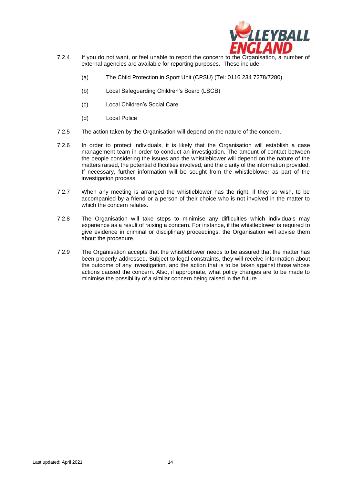

- 7.2.4 If you do not want, or feel unable to report the concern to the Organisation, a number of external agencies are available for reporting purposes. These include:
	- (a) The Child Protection in Sport Unit (CPSU) (Tel: 0116 234 7278/7280)
	- (b) Local Safeguarding Children's Board (LSCB)
	- (c) Local Children's Social Care
	- (d) Local Police
- 7.2.5 The action taken by the Organisation will depend on the nature of the concern.
- 7.2.6 In order to protect individuals, it is likely that the Organisation will establish a case management team in order to conduct an investigation. The amount of contact between the people considering the issues and the whistleblower will depend on the nature of the matters raised, the potential difficulties involved, and the clarity of the information provided. If necessary, further information will be sought from the whistleblower as part of the investigation process.
- 7.2.7 When any meeting is arranged the whistleblower has the right, if they so wish, to be accompanied by a friend or a person of their choice who is not involved in the matter to which the concern relates.
- 7.2.8 The Organisation will take steps to minimise any difficulties which individuals may experience as a result of raising a concern. For instance, if the whistleblower is required to give evidence in criminal or disciplinary proceedings, the Organisation will advise them about the procedure.
- 7.2.9 The Organisation accepts that the whistleblower needs to be assured that the matter has been properly addressed. Subject to legal constraints, they will receive information about the outcome of any investigation, and the action that is to be taken against those whose actions caused the concern. Also, if appropriate, what policy changes are to be made to minimise the possibility of a similar concern being raised in the future.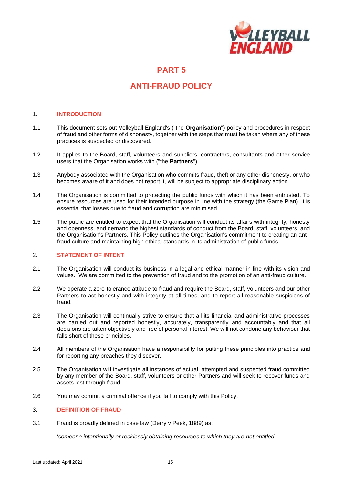

## **ANTI-FRAUD POLICY**

#### 1. **INTRODUCTION**

- 1.1 This document sets out Volleyball England's ("the **Organisation**") policy and procedures in respect of fraud and other forms of dishonesty, together with the steps that must be taken where any of these practices is suspected or discovered.
- 1.2 It applies to the Board, staff, volunteers and suppliers, contractors, consultants and other service users that the Organisation works with ("the **Partners**").
- 1.3 Anybody associated with the Organisation who commits fraud, theft or any other dishonesty, or who becomes aware of it and does not report it, will be subject to appropriate disciplinary action.
- 1.4 The Organisation is committed to protecting the public funds with which it has been entrusted. To ensure resources are used for their intended purpose in line with the strategy (the Game Plan), it is essential that losses due to fraud and corruption are minimised.
- 1.5 The public are entitled to expect that the Organisation will conduct its affairs with integrity, honesty and openness, and demand the highest standards of conduct from the Board, staff, volunteers, and the Organisation's Partners. This Policy outlines the Organisation's commitment to creating an antifraud culture and maintaining high ethical standards in its administration of public funds.

#### 2. **STATEMENT OF INTENT**

- 2.1 The Organisation will conduct its business in a legal and ethical manner in line with its vision and values. We are committed to the prevention of fraud and to the promotion of an anti-fraud culture.
- 2.2 We operate a zero-tolerance attitude to fraud and require the Board, staff, volunteers and our other Partners to act honestly and with integrity at all times, and to report all reasonable suspicions of fraud.
- 2.3 The Organisation will continually strive to ensure that all its financial and administrative processes are carried out and reported honestly, accurately, transparently and accountably and that all decisions are taken objectively and free of personal interest. We will not condone any behaviour that falls short of these principles.
- 2.4 All members of the Organisation have a responsibility for putting these principles into practice and for reporting any breaches they discover.
- 2.5 The Organisation will investigate all instances of actual, attempted and suspected fraud committed by any member of the Board, staff, volunteers or other Partners and will seek to recover funds and assets lost through fraud.
- 2.6 You may commit a criminal offence if you fail to comply with this Policy.

#### 3. **DEFINITION OF FRAUD**

3.1 Fraud is broadly defined in case law (Derry v Peek, 1889) as:

'*someone intentionally or recklessly obtaining resources to which they are not entitled*'.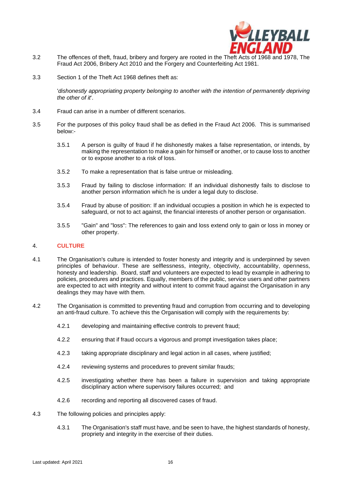

- 3.2 The offences of theft, fraud, bribery and forgery are rooted in the Theft Acts of 1968 and 1978, The Fraud Act 2006, Bribery Act 2010 and the Forgery and Counterfeiting Act 1981.
- 3.3 Section 1 of the Theft Act 1968 defines theft as:

'*dishonestly appropriating property belonging to another with the intention of permanently depriving the other of it*'.

- 3.4 Fraud can arise in a number of different scenarios.
- 3.5 For the purposes of this policy fraud shall be as defied in the Fraud Act 2006. This is summarised below:-
	- 3.5.1 A person is guilty of fraud if he dishonestly makes a false representation, or intends, by making the representation to make a gain for himself or another, or to cause loss to another or to expose another to a risk of loss.
	- 3.5.2 To make a representation that is false untrue or misleading.
	- 3.5.3 Fraud by failing to disclose information: If an individual dishonestly fails to disclose to another person information which he is under a legal duty to disclose.
	- 3.5.4 Fraud by abuse of position: If an individual occupies a position in which he is expected to safeguard, or not to act against, the financial interests of another person or organisation.
	- 3.5.5 "Gain" and "loss": The references to gain and loss extend only to gain or loss in money or other property.

#### 4. **CULTURE**

- 4.1 The Organisation's culture is intended to foster honesty and integrity and is underpinned by seven principles of behaviour. These are selflessness, integrity, objectivity, accountability, openness, honesty and leadership. Board, staff and volunteers are expected to lead by example in adhering to policies, procedures and practices. Equally, members of the public, service users and other partners are expected to act with integrity and without intent to commit fraud against the Organisation in any dealings they may have with them.
- 4.2 The Organisation is committed to preventing fraud and corruption from occurring and to developing an anti-fraud culture. To achieve this the Organisation will comply with the requirements by:
	- 4.2.1 developing and maintaining effective controls to prevent fraud;
	- 4.2.2 ensuring that if fraud occurs a vigorous and prompt investigation takes place;
	- 4.2.3 taking appropriate disciplinary and legal action in all cases, where justified;
	- 4.2.4 reviewing systems and procedures to prevent similar frauds;
	- 4.2.5 investigating whether there has been a failure in supervision and taking appropriate disciplinary action where supervisory failures occurred; and
	- 4.2.6 recording and reporting all discovered cases of fraud.
- 4.3 The following policies and principles apply:
	- 4.3.1 The Organisation's staff must have, and be seen to have, the highest standards of honesty, propriety and integrity in the exercise of their duties.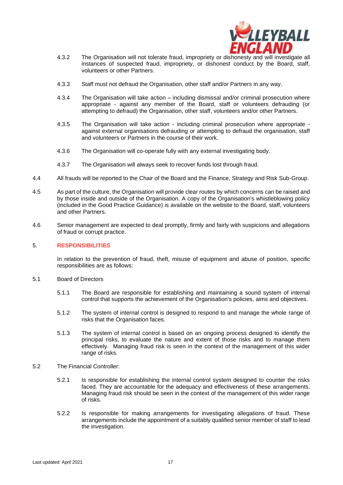

- 4.3.2 The Organisation will not tolerate fraud, impropriety or dishonesty and will investigate all instances of suspected fraud, impropriety, or dishonest conduct by the Board, staff, volunteers or other Partners.
- 4.3.3 Staff must not defraud the Organisation, other staff and/or Partners in any way.
- 4.3.4 The Organisation will take action including dismissal and/or criminal prosecution where appropriate - against any member of the Board, staff or volunteers defrauding (or attempting to defraud) the Organisation, other staff, volunteers and/or other Partners.
- 4.3.5 The Organisation will take action including criminal prosecution where appropriate against external organisations defrauding or attempting to defraud the organisation, staff and volunteers or Partners in the course of their work.
- 4.3.6 The Organisation will co-operate fully with any external investigating body.
- 4.3.7 The Organisation will always seek to recover funds lost through fraud.
- 4.4 All frauds will be reported to the Chair of the Board and the Finance, Strategy and Risk Sub-Group.
- 4.5 As part of the culture, the Organisation will provide clear routes by which concerns can be raised and by those inside and outside of the Organisation. A copy of the Organisation's whistleblowing policy (included in the Good Practice Guidance) is available on the website to the Board, staff, volunteers and other Partners.
- 4.6 Senior management are expected to deal promptly, firmly and fairly with suspicions and allegations of fraud or corrupt practice.

#### 5. **RESPONSIBILITIES**

In relation to the prevention of fraud, theft, misuse of equipment and abuse of position, specific responsibilities are as follows:

- 5.1 Board of Directors
	- 5.1.1 The Board are responsible for establishing and maintaining a sound system of internal control that supports the achievement of the Organisation's policies, aims and objectives.
	- 5.1.2 The system of internal control is designed to respond to and manage the whole range of risks that the Organisation faces.
	- 5.1.3 The system of internal control is based on an ongoing process designed to identify the principal risks, to evaluate the nature and extent of those risks and to manage them effectively. Managing fraud risk is seen in the context of the management of this wider range of risks.
- 5.2 The Financial Controller:
	- 5.2.1 Is responsible for establishing the internal control system designed to counter the risks faced. They are accountable for the adequacy and effectiveness of these arrangements. Managing fraud risk should be seen in the context of the management of this wider range of risks.
	- 5.2.2 Is responsible for making arrangements for investigating allegations of fraud. These arrangements include the appointment of a suitably qualified senior member of staff to lead the investigation.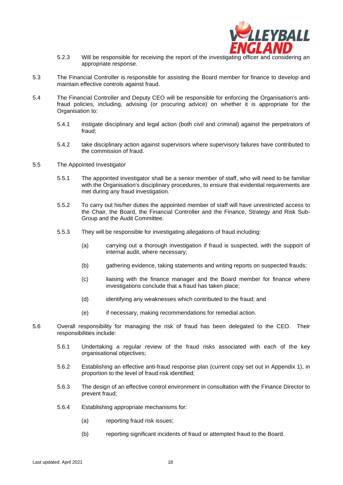

- 5.2.3 Will be responsible for receiving the report of the investigating officer and considering an appropriate response.
- 5.3 The Financial Controller is responsible for assisting the Board member for finance to develop and maintain effective controls against fraud.
- 5.4 The Financial Controller and Deputy CEO will be responsible for enforcing the Organisation's antifraud policies, including, advising (or procuring advice) on whether it is appropriate for the Organisation to:
	- 5.4.1 instigate disciplinary and legal action (both civil and criminal) against the perpetrators of fraud;
	- 5.4.2 take disciplinary action against supervisors where supervisory failures have contributed to the commission of fraud.
- 5.5 The Appointed Investigator
	- 5.5.1 The appointed investigator shall be a senior member of staff, who will need to be familiar with the Organisation's disciplinary procedures, to ensure that evidential requirements are met during any fraud investigation.
	- 5.5.2 To carry out his/her duties the appointed member of staff will have unrestricted access to the Chair, the Board, the Financial Controller and the Finance, Strategy and Risk Sub-Group and the Audit Committee.
	- 5.5.3 They will be responsible for investigating allegations of fraud including:
		- (a) carrying out a thorough investigation if fraud is suspected, with the support of internal audit, where necessary;
		- (b) gathering evidence, taking statements and writing reports on suspected frauds;
		- (c) liaising with the finance manager and the Board member for finance where investigations conclude that a fraud has taken place;
		- (d) identifying any weaknesses which contributed to the fraud; and
		- (e) if necessary, making recommendations for remedial action.
- 5.6 Overall responsibility for managing the risk of fraud has been delegated to the CEO. Their responsibilities include:
	- 5.6.1 Undertaking a regular review of the fraud risks associated with each of the key organisational objectives;
	- 5.6.2 Establishing an effective anti-fraud response plan (current copy set out in Appendix 1), in proportion to the level of fraud risk identified;
	- 5.6.3 The design of an effective control environment in consultation with the Finance Director to prevent fraud;
	- 5.6.4 Establishing appropriate mechanisms for:
		- (a) reporting fraud risk issues;
		- (b) reporting significant incidents of fraud or attempted fraud to the Board.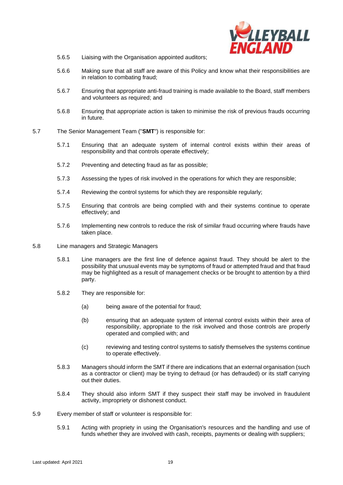

- 5.6.5 Liaising with the Organisation appointed auditors;
- 5.6.6 Making sure that all staff are aware of this Policy and know what their responsibilities are in relation to combating fraud;
- 5.6.7 Ensuring that appropriate anti-fraud training is made available to the Board, staff members and volunteers as required; and
- 5.6.8 Ensuring that appropriate action is taken to minimise the risk of previous frauds occurring in future.
- 5.7 The Senior Management Team ("**SMT**") is responsible for:
	- 5.7.1 Ensuring that an adequate system of internal control exists within their areas of responsibility and that controls operate effectively;
	- 5.7.2 Preventing and detecting fraud as far as possible;
	- 5.7.3 Assessing the types of risk involved in the operations for which they are responsible;
	- 5.7.4 Reviewing the control systems for which they are responsible regularly;
	- 5.7.5 Ensuring that controls are being complied with and their systems continue to operate effectively; and
	- 5.7.6 Implementing new controls to reduce the risk of similar fraud occurring where frauds have taken place.
- 5.8 Line managers and Strategic Managers
	- 5.8.1 Line managers are the first line of defence against fraud. They should be alert to the possibility that unusual events may be symptoms of fraud or attempted fraud and that fraud may be highlighted as a result of management checks or be brought to attention by a third party.
	- 5.8.2 They are responsible for:
		- (a) being aware of the potential for fraud;
		- (b) ensuring that an adequate system of internal control exists within their area of responsibility, appropriate to the risk involved and those controls are properly operated and complied with; and
		- (c) reviewing and testing control systems to satisfy themselves the systems continue to operate effectively.
	- 5.8.3 Managers should inform the SMT if there are indications that an external organisation (such as a contractor or client) may be trying to defraud (or has defrauded) or its staff carrying out their duties.
	- 5.8.4 They should also inform SMT if they suspect their staff may be involved in fraudulent activity, impropriety or dishonest conduct.
- 5.9 Every member of staff or volunteer is responsible for:
	- 5.9.1 Acting with propriety in using the Organisation's resources and the handling and use of funds whether they are involved with cash, receipts, payments or dealing with suppliers;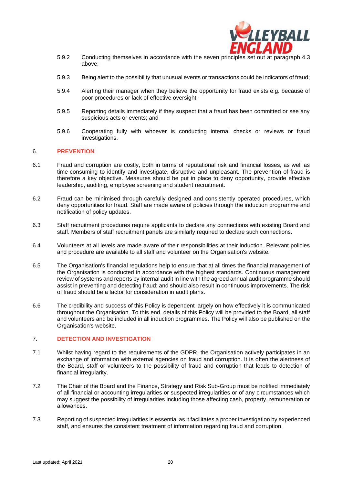

- 5.9.2 Conducting themselves in accordance with the seven principles set out at paragraph 4.3 above;
- 5.9.3 Being alert to the possibility that unusual events or transactions could be indicators of fraud;
- 5.9.4 Alerting their manager when they believe the opportunity for fraud exists e.g. because of poor procedures or lack of effective oversight;
- 5.9.5 Reporting details immediately if they suspect that a fraud has been committed or see any suspicious acts or events; and
- 5.9.6 Cooperating fully with whoever is conducting internal checks or reviews or fraud investigations.

#### 6. **PREVENTION**

- 6.1 Fraud and corruption are costly, both in terms of reputational risk and financial losses, as well as time-consuming to identify and investigate, disruptive and unpleasant. The prevention of fraud is therefore a key objective. Measures should be put in place to deny opportunity, provide effective leadership, auditing, employee screening and student recruitment.
- 6.2 Fraud can be minimised through carefully designed and consistently operated procedures, which deny opportunities for fraud. Staff are made aware of policies through the induction programme and notification of policy updates.
- 6.3 Staff recruitment procedures require applicants to declare any connections with existing Board and staff. Members of staff recruitment panels are similarly required to declare such connections.
- 6.4 Volunteers at all levels are made aware of their responsibilities at their induction. Relevant policies and procedure are available to all staff and volunteer on the Organisation's website.
- 6.5 The Organisation's financial regulations help to ensure that at all times the financial management of the Organisation is conducted in accordance with the highest standards. Continuous management review of systems and reports by internal audit in line with the agreed annual audit programme should assist in preventing and detecting fraud; and should also result in continuous improvements. The risk of fraud should be a factor for consideration in audit plans.
- 6.6 The credibility and success of this Policy is dependent largely on how effectively it is communicated throughout the Organisation. To this end, details of this Policy will be provided to the Board, all staff and volunteers and be included in all induction programmes. The Policy will also be published on the Organisation's website.

#### 7. **DETECTION AND INVESTIGATION**

- 7.1 Whilst having regard to the requirements of the GDPR, the Organisation actively participates in an exchange of information with external agencies on fraud and corruption. It is often the alertness of the Board, staff or volunteers to the possibility of fraud and corruption that leads to detection of financial irregularity.
- 7.2 The Chair of the Board and the Finance, Strategy and Risk Sub-Group must be notified immediately of all financial or accounting irregularities or suspected irregularities or of any circumstances which may suggest the possibility of irregularities including those affecting cash, property, remuneration or allowances.
- 7.3 Reporting of suspected irregularities is essential as it facilitates a proper investigation by experienced staff, and ensures the consistent treatment of information regarding fraud and corruption.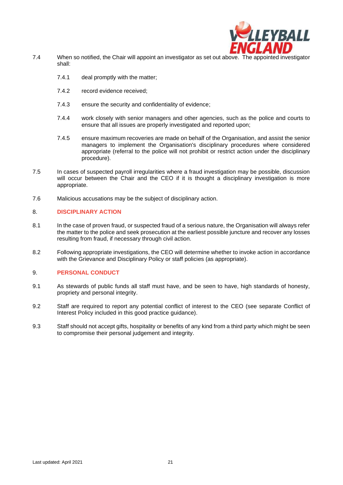

- 7.4 When so notified, the Chair will appoint an investigator as set out above. The appointed investigator shall:
	- 7.4.1 deal promptly with the matter;
	- 7.4.2 record evidence received;
	- 7.4.3 ensure the security and confidentiality of evidence;
	- 7.4.4 work closely with senior managers and other agencies, such as the police and courts to ensure that all issues are properly investigated and reported upon;
	- 7.4.5 ensure maximum recoveries are made on behalf of the Organisation, and assist the senior managers to implement the Organisation's disciplinary procedures where considered appropriate (referral to the police will not prohibit or restrict action under the disciplinary procedure).
- 7.5 In cases of suspected payroll irregularities where a fraud investigation may be possible, discussion will occur between the Chair and the CEO if it is thought a disciplinary investigation is more appropriate.
- 7.6 Malicious accusations may be the subject of disciplinary action.

#### 8. **DISCIPLINARY ACTION**

- 8.1 In the case of proven fraud, or suspected fraud of a serious nature, the Organisation will always refer the matter to the police and seek prosecution at the earliest possible juncture and recover any losses resulting from fraud, if necessary through civil action.
- 8.2 Following appropriate investigations, the CEO will determine whether to invoke action in accordance with the Grievance and Disciplinary Policy or staff policies (as appropriate).

#### 9. **PERSONAL CONDUCT**

- 9.1 As stewards of public funds all staff must have, and be seen to have, high standards of honesty, propriety and personal integrity.
- 9.2 Staff are required to report any potential conflict of interest to the CEO (see separate Conflict of Interest Policy included in this good practice guidance).
- 9.3 Staff should not accept gifts, hospitality or benefits of any kind from a third party which might be seen to compromise their personal judgement and integrity.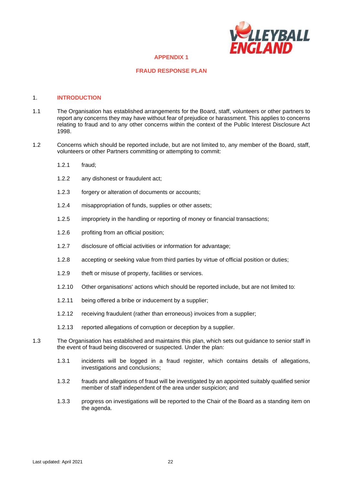

#### **APPENDIX 1**

#### **FRAUD RESPONSE PLAN**

#### 1. **INTRODUCTION**

- 1.1 The Organisation has established arrangements for the Board, staff, volunteers or other partners to report any concerns they may have without fear of prejudice or harassment. This applies to concerns relating to fraud and to any other concerns within the context of the Public Interest Disclosure Act 1998.
- 1.2 Concerns which should be reported include, but are not limited to, any member of the Board, staff, volunteers or other Partners committing or attempting to commit:
	- 1.2.1 fraud;
	- 1.2.2 any dishonest or fraudulent act;
	- 1.2.3 forgery or alteration of documents or accounts;
	- 1.2.4 misappropriation of funds, supplies or other assets;
	- 1.2.5 impropriety in the handling or reporting of money or financial transactions;
	- 1.2.6 profiting from an official position;
	- 1.2.7 disclosure of official activities or information for advantage;
	- 1.2.8 accepting or seeking value from third parties by virtue of official position or duties;
	- 1.2.9 theft or misuse of property, facilities or services.
	- 1.2.10 Other organisations' actions which should be reported include, but are not limited to:
	- 1.2.11 being offered a bribe or inducement by a supplier;
	- 1.2.12 receiving fraudulent (rather than erroneous) invoices from a supplier;
	- 1.2.13 reported allegations of corruption or deception by a supplier.
- 1.3 The Organisation has established and maintains this plan, which sets out guidance to senior staff in the event of fraud being discovered or suspected. Under the plan:
	- 1.3.1 incidents will be logged in a fraud register, which contains details of allegations, investigations and conclusions;
	- 1.3.2 frauds and allegations of fraud will be investigated by an appointed suitably qualified senior member of staff independent of the area under suspicion; and
	- 1.3.3 progress on investigations will be reported to the Chair of the Board as a standing item on the agenda.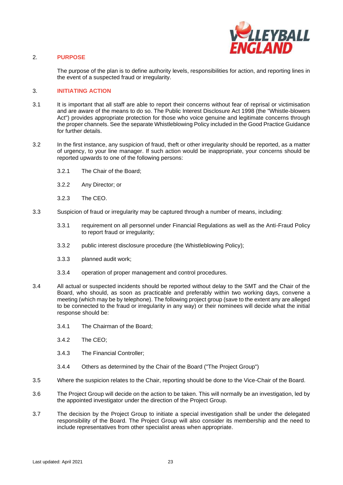

#### 2. **PURPOSE**

The purpose of the plan is to define authority levels, responsibilities for action, and reporting lines in the event of a suspected fraud or irregularity.

#### 3. **INITIATING ACTION**

- 3.1 It is important that all staff are able to report their concerns without fear of reprisal or victimisation and are aware of the means to do so. The Public Interest Disclosure Act 1998 (the "Whistle-blowers Act") provides appropriate protection for those who voice genuine and legitimate concerns through the proper channels. See the separate Whistleblowing Policy included in the Good Practice Guidance for further details.
- 3.2 In the first instance, any suspicion of fraud, theft or other irregularity should be reported, as a matter of urgency, to your line manager. If such action would be inappropriate, your concerns should be reported upwards to one of the following persons:
	- 3.2.1 The Chair of the Board;
	- 3.2.2 Any Director; or
	- 3.2.3 The CEO.
- 3.3 Suspicion of fraud or irregularity may be captured through a number of means, including:
	- 3.3.1 requirement on all personnel under Financial Regulations as well as the Anti-Fraud Policy to report fraud or irregularity;
	- 3.3.2 public interest disclosure procedure (the Whistleblowing Policy);
	- 3.3.3 planned audit work;
	- 3.3.4 operation of proper management and control procedures.
- 3.4 All actual or suspected incidents should be reported without delay to the SMT and the Chair of the Board, who should, as soon as practicable and preferably within two working days, convene a meeting (which may be by telephone). The following project group (save to the extent any are alleged to be connected to the fraud or irregularity in any way) or their nominees will decide what the initial response should be:
	- 3.4.1 The Chairman of the Board;
	- 3.4.2 The CEO;
	- 3.4.3 The Financial Controller;
	- 3.4.4 Others as determined by the Chair of the Board ("The Project Group")
- 3.5 Where the suspicion relates to the Chair, reporting should be done to the Vice-Chair of the Board.
- 3.6 The Project Group will decide on the action to be taken. This will normally be an investigation, led by the appointed investigator under the direction of the Project Group.
- 3.7 The decision by the Project Group to initiate a special investigation shall be under the delegated responsibility of the Board. The Project Group will also consider its membership and the need to include representatives from other specialist areas when appropriate.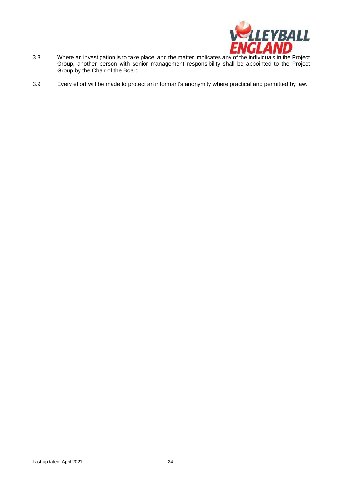

- 3.8 Where an investigation is to take place, and the matter implicates any of the individuals in the Project Group, another person with senior management responsibility shall be appointed to the Project Group by the Chair of the Board.
- 3.9 Every effort will be made to protect an informant's anonymity where practical and permitted by law.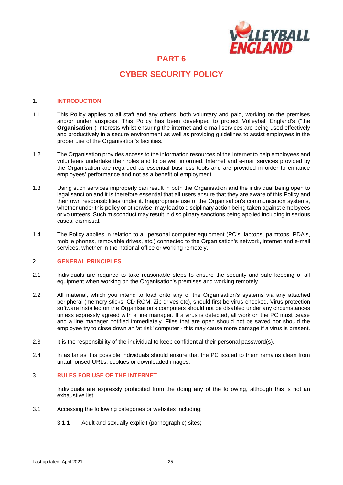

## **CYBER SECURITY POLICY**

#### 1. **INTRODUCTION**

- 1.1 This Policy applies to all staff and any others, both voluntary and paid, working on the premises and/or under auspices. This Policy has been developed to protect Volleyball England's ("the **Organisation**") interests whilst ensuring the internet and e-mail services are being used effectively and productively in a secure environment as well as providing guidelines to assist employees in the proper use of the Organisation's facilities.
- 1.2 The Organisation provides access to the information resources of the Internet to help employees and volunteers undertake their roles and to be well informed. Internet and e-mail services provided by the Organisation are regarded as essential business tools and are provided in order to enhance employees' performance and not as a benefit of employment.
- 1.3 Using such services improperly can result in both the Organisation and the individual being open to legal sanction and it is therefore essential that all users ensure that they are aware of this Policy and their own responsibilities under it. Inappropriate use of the Organisation's communication systems, whether under this policy or otherwise, may lead to disciplinary action being taken against employees or volunteers. Such misconduct may result in disciplinary sanctions being applied including in serious cases, dismissal.
- 1.4 The Policy applies in relation to all personal computer equipment (PC's, laptops, palmtops, PDA's, mobile phones, removable drives, etc.) connected to the Organisation's network, internet and e-mail services, whether in the national office or working remotely.

#### 2. **GENERAL PRINCIPLES**

- 2.1 Individuals are required to take reasonable steps to ensure the security and safe keeping of all equipment when working on the Organisation's premises and working remotely.
- 2.2 All material, which you intend to load onto any of the Organisation's systems via any attached peripheral (memory sticks, CD-ROM, Zip drives etc), should first be virus-checked. Virus protection software installed on the Organisation's computers should not be disabled under any circumstances unless expressly agreed with a line manager. If a virus is detected, all work on the PC must cease and a line manager notified immediately. Files that are open should not be saved nor should the employee try to close down an 'at risk' computer - this may cause more damage if a virus is present.
- 2.3 It is the responsibility of the individual to keep confidential their personal password(s).
- 2.4 In as far as it is possible individuals should ensure that the PC issued to them remains clean from unauthorised URLs, cookies or downloaded images.

#### 3. **RULES FOR USE OF THE INTERNET**

Individuals are expressly prohibited from the doing any of the following, although this is not an exhaustive list.

- 3.1 Accessing the following categories or websites including:
	- 3.1.1 Adult and sexually explicit (pornographic) sites;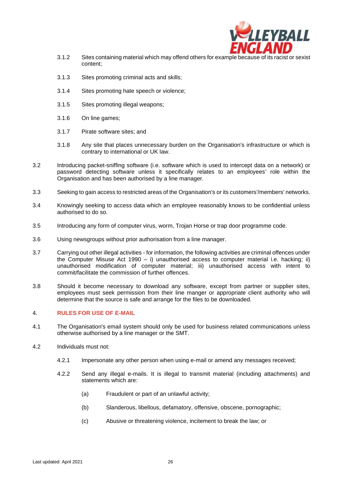

- 3.1.2 Sites containing material which may offend others for example because of its racist or sexist content;
- 3.1.3 Sites promoting criminal acts and skills;
- 3.1.4 Sites promoting hate speech or violence;
- 3.1.5 Sites promoting illegal weapons;
- 3.1.6 On line games;
- 3.1.7 Pirate software sites; and
- 3.1.8 Any site that places unnecessary burden on the Organisation's infrastructure or which is contrary to international or UK law.
- 3.2 Introducing packet-sniffing software (i.e. software which is used to intercept data on a network) or password detecting software unless it specifically relates to an employees' role within the Organisation and has been authorised by a line manager.
- 3.3 Seeking to gain access to restricted areas of the Organisation's or its customers'/members' networks.
- 3.4 Knowingly seeking to access data which an employee reasonably knows to be confidential unless authorised to do so.
- 3.5 Introducing any form of computer virus, worm, Trojan Horse or trap door programme code.
- 3.6 Using newsgroups without prior authorisation from a line manager.
- 3.7 Carrying out other illegal activities for information, the following activities are criminal offences under the Computer Misuse Act 1990 – i) unauthorised access to computer material i.e. hacking; ii) unauthorised modification of computer material; iii) unauthorised access with intent to commit/facilitate the commission of further offences.
- 3.8 Should it become necessary to download any software, except from partner or supplier sites, employees must seek permission from their line manger or appropriate client authority who will determine that the source is safe and arrange for the files to be downloaded.

#### 4. **RULES FOR USE OF E-MAIL**

- 4.1 The Organisation's email system should only be used for business related communications unless otherwise authorised by a line manager or the SMT.
- 4.2 Individuals must not:
	- 4.2.1 Impersonate any other person when using e-mail or amend any messages received;
	- 4.2.2 Send any illegal e-mails. It is illegal to transmit material (including attachments) and statements which are:
		- (a) Fraudulent or part of an unlawful activity;
		- (b) Slanderous, libellous, defamatory, offensive, obscene, pornographic;
		- (c) Abusive or threatening violence, incitement to break the law; or